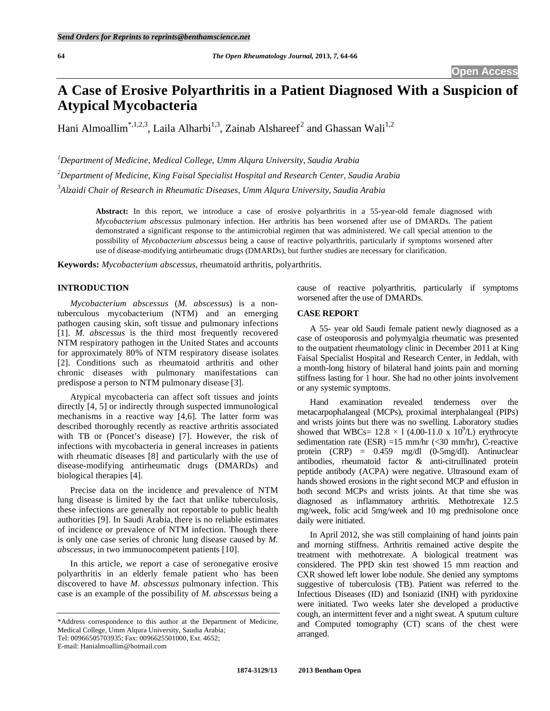# **A Case of Erosive Polyarthritis in a Patient Diagnosed With a Suspicion of Atypical Mycobacteria**

Hani Almoallim<sup>\*,1,2,3</sup>, Laila Alharbi<sup>1,3</sup>, Zainab Alshareef<sup>2</sup> and Ghassan Wali<sup>1,2</sup>

*1 Department of Medicine, Medical College, Umm Alqura University, Saudia Arabia 2 Department of Medicine, King Faisal Specialist Hospital and Research Center, Saudia Arabia 3 Alzaidi Chair of Research in Rheumatic Diseases, Umm Alqura University, Saudia Arabia* 

> **Abstract:** In this report, we introduce a case of erosive polyarthritis in a 55-year-old female diagnosed with *Mycobacterium abscessus* pulmonary infection. Her arthritis has been worsened after use of DMARDs. The patient demonstrated a significant response to the antimicrobial regimen that was administered. We call special attention to the possibility of *Mycobacterium abscessus* being a cause of reactive polyarthritis, particularly if symptoms worsened after use of disease-modifying antirheumatic drugs (DMARDs), but further studies are necessary for clarification.

**Keywords:** *Mycobacterium abscessus*, rheumatoid arthritis, polyarthritis.

# **INTRODUCTION**

*Mycobacterium abscessus* (*M. abscessus*) is a nontuberculous mycobacterium (NTM) and an emerging pathogen causing skin, soft tissue and pulmonary infections [1]. *M. abscessus* is the third most frequently recovered NTM respiratory pathogen in the United States and accounts for approximately 80% of NTM respiratory disease isolates [2]. Conditions such as rheumatoid arthritis and other chronic diseases with pulmonary manifestations can predispose a person to NTM pulmonary disease [3].

 Atypical mycobacteria can affect soft tissues and joints directly [4, 5] or indirectly through suspected immunological mechanisms in a reactive way [4,6]. The latter form was described thoroughly recently as reactive arthritis associated with TB or (Poncet's disease) [7]. However, the risk of infections with mycobacteria in general increases in patients with rheumatic diseases [8] and particularly with the use of disease-modifying antirheumatic drugs (DMARDs) and biological therapies [4].

 Precise data on the incidence and prevalence of NTM lung disease is limited by the fact that unlike tuberculosis, these infections are generally not reportable to public health authorities [9]. In Saudi Arabia, there is no reliable estimates of incidence or prevalence of NTM infection. Though there is only one case series of chronic lung disease caused by *M. abscessus*, in two immunocompetent patients [10].

 In this article, we report a case of seronegative erosive polyarthritis in an elderly female patient who has been discovered to have *M. abscessus* pulmonary infection. This case is an example of the possibility of *M. abscessus* being a

E-mail: Hanialmoallim@hotmail.com

cause of reactive polyarthritis, particularly if symptoms worsened after the use of DMARDs.

# **CASE REPORT**

 A 55- year old Saudi female patient newly diagnosed as a case of osteoporosis and polymyalgia rheumatic was presented to the outpatient rheumatology clinic in December 2011 at King Faisal Specialist Hospital and Research Center, in Jeddah, with a month-long history of bilateral hand joints pain and morning stiffness lasting for 1 hour. She had no other joints involvement or any systemic symptoms.

 Hand examination revealed tenderness over the metacarpophalangeal (MCPs), proximal interphalangeal (PIPs) and wrists joints but there was no swelling. Laboratory studies showed that WBCs=  $12.8 \times 1$  (4.00-11.0 x 10<sup>9</sup>/L) erythrocyte sedimentation rate (ESR) =15 mm/hr (<30 mm/hr), C-reactive protein (CRP) = 0.459 mg/dl (0-5mg/dl). Antinuclear antibodies, rheumatoid factor & anti-citrullinated protein peptide antibody (ACPA) were negative. Ultrasound exam of hands showed erosions in the right second MCP and effusion in both second MCPs and wrists joints. At that time she was diagnosed as inflammatory arthritis. Methotrexate 12.5 mg/week, folic acid 5mg/week and 10 mg prednisolone once daily were initiated.

 In April 2012, she was still complaining of hand joints pain and morning stiffness. Arthritis remained active despite the treatment with methotrexate. A biological treatment was considered. The PPD skin test showed 15 mm reaction and CXR showed left lower lobe nodule. She denied any symptoms suggestive of tuberculosis (TB). Patient was referred to the Infectious Diseases (ID) and Isoniazid (INH) with pyridoxine were initiated. Two weeks later she developed a productive cough, an intermittent fever and a night sweat. A sputum culture and Computed tomography (CT) scans of the chest were arranged.

<sup>\*</sup>Address correspondence to this author at the Department of Medicine, Medical College, Umm Alqura University, Saudia Arabia; Tel: 00966505703935; Fax: 0096625501000, Ext. 4652;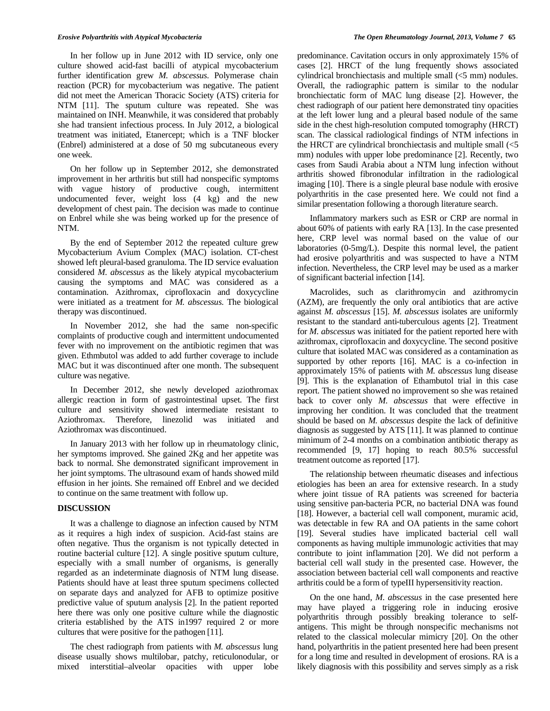In her follow up in June 2012 with ID service, only one culture showed acid-fast bacilli of atypical mycobacterium further identification grew *M. abscessus.* Polymerase chain reaction (PCR) for mycobacterium was negative. The patient did not meet the American Thoracic Society (ATS) criteria for NTM [11]. The sputum culture was repeated. She was maintained on INH. Meanwhile, it was considered that probably she had transient infectious process. In July 2012, a biological treatment was initiated, Etanercept; which is a TNF blocker (Enbrel) administered at a dose of 50 mg subcutaneous every one week.

 On her follow up in September 2012, she demonstrated improvement in her arthritis but still had nonspecific symptoms with vague history of productive cough, intermittent undocumented fever, weight loss (4 kg) and the new development of chest pain. The decision was made to continue on Enbrel while she was being worked up for the presence of NTM.

 By the end of September 2012 the repeated culture grew Mycobacterium Avium Complex (MAC) isolation. CT-chest showed left pleural-based granuloma. The ID service evaluation considered *M. abscessus* as the likely atypical mycobacterium causing the symptoms and MAC was considered as a contamination. Azithromax, ciprofloxacin and doxycycline were initiated as a treatment for *M. abscessus.* The biological therapy was discontinued.

 In November 2012, she had the same non-specific complaints of productive cough and intermittent undocumented fever with no improvement on the antibiotic regimen that was given. Ethmbutol was added to add further coverage to include MAC but it was discontinued after one month. The subsequent culture was negative.

 In December 2012, she newly developed aziothromax allergic reaction in form of gastrointestinal upset. The first culture and sensitivity showed intermediate resistant to Aziothromax. Therefore, linezolid was initiated and Aziothromax was discontinued.

 In January 2013 with her follow up in rheumatology clinic, her symptoms improved. She gained 2Kg and her appetite was back to normal. She demonstrated significant improvement in her joint symptoms. The ultrasound exam of hands showed mild effusion in her joints. She remained off Enbrel and we decided to continue on the same treatment with follow up.

### **DISCUSSION**

 It was a challenge to diagnose an infection caused by NTM as it requires a high index of suspicion. Acid-fast stains are often negative. Thus the organism is not typically detected in routine bacterial culture [12]. A single positive sputum culture, especially with a small number of organisms, is generally regarded as an indeterminate diagnosis of NTM lung disease. Patients should have at least three sputum specimens collected on separate days and analyzed for AFB to optimize positive predictive value of sputum analysis [2]. In the patient reported here there was only one positive culture while the diagnostic criteria established by the ATS in1997 required 2 or more cultures that were positive for the pathogen [11].

 The chest radiograph from patients with *M. abscessus* lung disease usually shows multilobar, patchy, reticulonodular, or mixed interstitial–alveolar opacities with upper lobe

predominance. Cavitation occurs in only approximately 15% of cases [2]. HRCT of the lung frequently shows associated cylindrical bronchiectasis and multiple small (<5 mm) nodules. Overall, the radiographic pattern is similar to the nodular bronchiectatic form of MAC lung disease [2]. However, the chest radiograph of our patient here demonstrated tiny opacities at the left lower lung and a pleural based nodule of the same side in the chest high-resolution computed tomography (HRCT) scan. The classical radiological findings of NTM infections in the HRCT are cylindrical bronchiectasis and multiple small  $\langle$ <5 mm) nodules with upper lobe predominance [2]. Recently, two cases from Saudi Arabia about a NTM lung infection without arthritis showed fibronodular infiltration in the radiological imaging [10]. There is a single pleural base nodule with erosive polyarthritis in the case presented here. We could not find a similar presentation following a thorough literature search.

 Inflammatory markers such as ESR or CRP are normal in about 60% of patients with early RA [13]. In the case presented here, CRP level was normal based on the value of our laboratories (0-5mg/L). Despite this normal level, the patient had erosive polyarthritis and was suspected to have a NTM infection. Nevertheless, the CRP level may be used as a marker of significant bacterial infection [14].

 Macrolides, such as clarithromycin and azithromycin (AZM), are frequently the only oral antibiotics that are active against *M. abscessus* [15]. *M. abscessus* isolates are uniformly resistant to the standard anti-tuberculous agents [2]. Treatment for *M. abscessus* was initiated for the patient reported here with azithromax, ciprofloxacin and doxycycline. The second positive culture that isolated MAC was considered as a contamination as supported by other reports [16]. MAC is a co-infection in approximately 15% of patients with *M. abscessus* lung disease [9]. This is the explanation of Ethambutol trial in this case report. The patient showed no improvement so she was retained back to cover only *M. abscessus* that were effective in improving her condition. It was concluded that the treatment should be based on *M. abscessus* despite the lack of definitive diagnosis as suggested by ATS [11]. It was planned to continue minimum of 2-4 months on a combination antibiotic therapy as recommended [9, 17] hoping to reach 80.5% successful treatment outcome as reported [17].

 The relationship between rheumatic diseases and infectious etiologies has been an area for extensive research. In a study where joint tissue of RA patients was screened for bacteria using sensitive pan-bacteria PCR, no bacterial DNA was found [18]. However, a bacterial cell wall component, muramic acid, was detectable in few RA and OA patients in the same cohort [19]. Several studies have implicated bacterial cell wall components as having multiple immunologic activities that may contribute to joint inflammation [20]. We did not perform a bacterial cell wall study in the presented case. However, the association between bacterial cell wall components and reactive arthritis could be a form of typeIII hypersensitivity reaction.

 On the one hand, *M. abscessus* in the case presented here may have played a triggering role in inducing erosive polyarthritis through possibly breaking tolerance to selfantigens. This might be through nonspecific mechanisms not related to the classical molecular mimicry [20]. On the other hand, polyarthritis in the patient presented here had been present for a long time and resulted in development of erosions. RA is a likely diagnosis with this possibility and serves simply as a risk